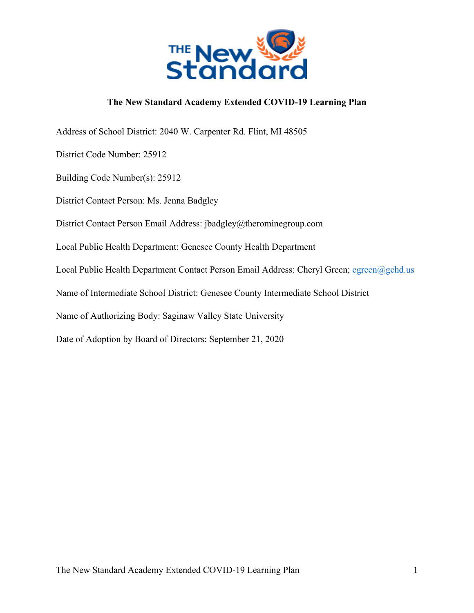

#### **The New Standard Academy Extended COVID-19 Learning Plan**

Address of School District: 2040 W. Carpenter Rd. Flint, MI 48505 District Code Number: 25912 Building Code Number(s): 25912 District Contact Person: Ms. Jenna Badgley District Contact Person Email Address: jbadgley@therominegroup.com Local Public Health Department: Genesee County Health Department Local Public Health Department Contact Person Email Address: Cheryl Green; cgreen@gchd.us Name of Intermediate School District: Genesee County Intermediate School District Name of Authorizing Body: Saginaw Valley State University Date of Adoption by Board of Directors: September 21, 2020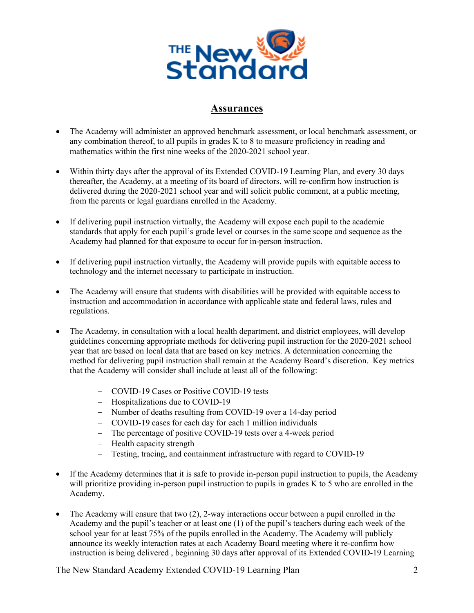

### **Assurances**

- The Academy will administer an approved benchmark assessment, or local benchmark assessment, or any combination thereof, to all pupils in grades K to 8 to measure proficiency in reading and mathematics within the first nine weeks of the 2020-2021 school year.
- Within thirty days after the approval of its Extended COVID-19 Learning Plan, and every 30 days thereafter, the Academy, at a meeting of its board of directors, will re-confirm how instruction is delivered during the 2020-2021 school year and will solicit public comment, at a public meeting, from the parents or legal guardians enrolled in the Academy.
- If delivering pupil instruction virtually, the Academy will expose each pupil to the academic standards that apply for each pupil's grade level or courses in the same scope and sequence as the Academy had planned for that exposure to occur for in-person instruction.
- If delivering pupil instruction virtually, the Academy will provide pupils with equitable access to technology and the internet necessary to participate in instruction.
- The Academy will ensure that students with disabilities will be provided with equitable access to instruction and accommodation in accordance with applicable state and federal laws, rules and regulations.
- The Academy, in consultation with a local health department, and district employees, will develop guidelines concerning appropriate methods for delivering pupil instruction for the 2020-2021 school year that are based on local data that are based on key metrics. A determination concerning the method for delivering pupil instruction shall remain at the Academy Board's discretion. Key metrics that the Academy will consider shall include at least all of the following:
	- COVID-19 Cases or Positive COVID-19 tests
	- Hospitalizations due to COVID-19
	- Number of deaths resulting from COVID-19 over a 14-day period
	- COVID-19 cases for each day for each 1 million individuals
	- The percentage of positive COVID-19 tests over a 4-week period
	- Health capacity strength
	- Testing, tracing, and containment infrastructure with regard to COVID-19
- If the Academy determines that it is safe to provide in-person pupil instruction to pupils, the Academy will prioritize providing in-person pupil instruction to pupils in grades K to 5 who are enrolled in the Academy.
- The Academy will ensure that two (2), 2-way interactions occur between a pupil enrolled in the Academy and the pupil's teacher or at least one (1) of the pupil's teachers during each week of the school year for at least 75% of the pupils enrolled in the Academy. The Academy will publicly announce its weekly interaction rates at each Academy Board meeting where it re-confirm how instruction is being delivered , beginning 30 days after approval of its Extended COVID-19 Learning

The New Standard Academy Extended COVID-19 Learning Plan 2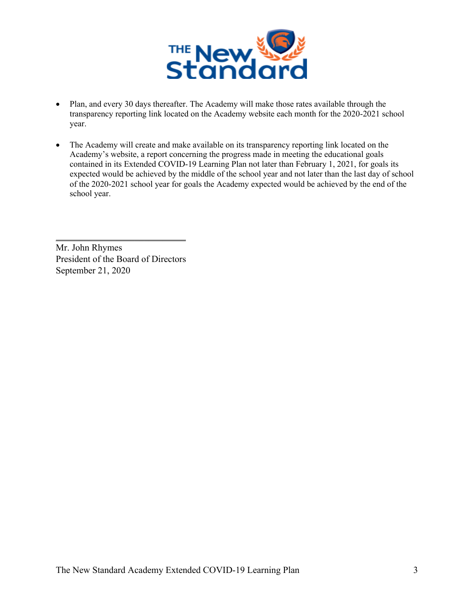

- Plan, and every 30 days thereafter. The Academy will make those rates available through the transparency reporting link located on the Academy website each month for the 2020-2021 school year.
- The Academy will create and make available on its transparency reporting link located on the Academy's website, a report concerning the progress made in meeting the educational goals contained in its Extended COVID-19 Learning Plan not later than February 1, 2021, for goals its expected would be achieved by the middle of the school year and not later than the last day of school of the 2020-2021 school year for goals the Academy expected would be achieved by the end of the school year.

Mr. John Rhymes President of the Board of Directors September 21, 2020

 $\overline{\phantom{a}}$  , where  $\overline{\phantom{a}}$  , where  $\overline{\phantom{a}}$  , where  $\overline{\phantom{a}}$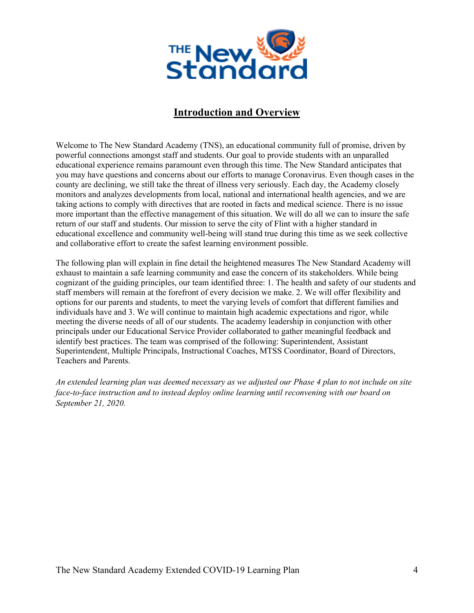

### **Introduction and Overview**

Welcome to The New Standard Academy (TNS), an educational community full of promise, driven by powerful connections amongst staff and students. Our goal to provide students with an unparalled educational experience remains paramount even through this time. The New Standard anticipates that you may have questions and concerns about our efforts to manage Coronavirus. Even though cases in the county are declining, we still take the threat of illness very seriously. Each day, the Academy closely monitors and analyzes developments from local, national and international health agencies, and we are taking actions to comply with directives that are rooted in facts and medical science. There is no issue more important than the effective management of this situation. We will do all we can to insure the safe return of our staff and students. Our mission to serve the city of Flint with a higher standard in educational excellence and community well-being will stand true during this time as we seek collective and collaborative effort to create the safest learning environment possible.

The following plan will explain in fine detail the heightened measures The New Standard Academy will exhaust to maintain a safe learning community and ease the concern of its stakeholders. While being cognizant of the guiding principles, our team identified three: 1. The health and safety of our students and staff members will remain at the forefront of every decision we make. 2. We will offer flexibility and options for our parents and students, to meet the varying levels of comfort that different families and individuals have and 3. We will continue to maintain high academic expectations and rigor, while meeting the diverse needs of all of our students. The academy leadership in conjunction with other principals under our Educational Service Provider collaborated to gather meaningful feedback and identify best practices. The team was comprised of the following: Superintendent, Assistant Superintendent, Multiple Principals, Instructional Coaches, MTSS Coordinator, Board of Directors, Teachers and Parents.

*An extended learning plan was deemed necessary as we adjusted our Phase 4 plan to not include on site face-to-face instruction and to instead deploy online learning until reconvening with our board on September 21, 2020.*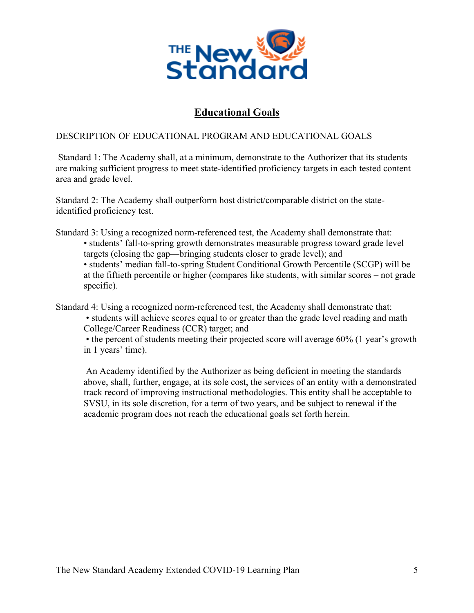

## **Educational Goals**

#### DESCRIPTION OF EDUCATIONAL PROGRAM AND EDUCATIONAL GOALS

Standard 1: The Academy shall, at a minimum, demonstrate to the Authorizer that its students are making sufficient progress to meet state-identified proficiency targets in each tested content area and grade level.

Standard 2: The Academy shall outperform host district/comparable district on the stateidentified proficiency test.

Standard 3: Using a recognized norm-referenced test, the Academy shall demonstrate that:

• students' fall-to-spring growth demonstrates measurable progress toward grade level targets (closing the gap—bringing students closer to grade level); and

• students' median fall-to-spring Student Conditional Growth Percentile (SCGP) will be at the fiftieth percentile or higher (compares like students, with similar scores – not grade specific).

Standard 4: Using a recognized norm-referenced test, the Academy shall demonstrate that:

• students will achieve scores equal to or greater than the grade level reading and math College/Career Readiness (CCR) target; and

• the percent of students meeting their projected score will average 60% (1 year's growth in 1 years' time).

An Academy identified by the Authorizer as being deficient in meeting the standards above, shall, further, engage, at its sole cost, the services of an entity with a demonstrated track record of improving instructional methodologies. This entity shall be acceptable to SVSU, in its sole discretion, for a term of two years, and be subject to renewal if the academic program does not reach the educational goals set forth herein.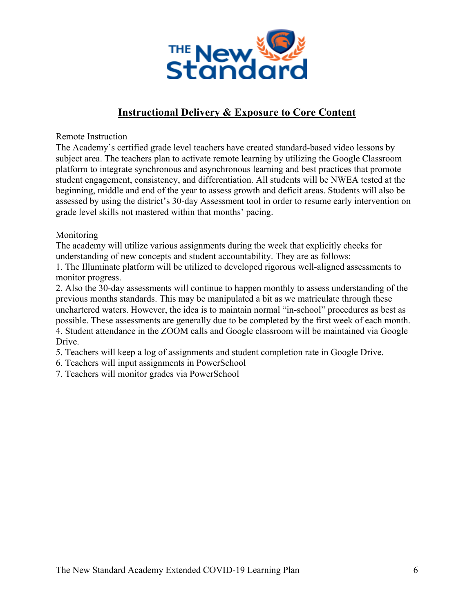

## **Instructional Delivery & Exposure to Core Content**

Remote Instruction

The Academy's certified grade level teachers have created standard-based video lessons by subject area. The teachers plan to activate remote learning by utilizing the Google Classroom platform to integrate synchronous and asynchronous learning and best practices that promote student engagement, consistency, and differentiation. All students will be NWEA tested at the beginning, middle and end of the year to assess growth and deficit areas. Students will also be assessed by using the district's 30-day Assessment tool in order to resume early intervention on grade level skills not mastered within that months' pacing.

Monitoring

The academy will utilize various assignments during the week that explicitly checks for understanding of new concepts and student accountability. They are as follows:

1. The Illuminate platform will be utilized to developed rigorous well-aligned assessments to monitor progress.

2. Also the 30-day assessments will continue to happen monthly to assess understanding of the previous months standards. This may be manipulated a bit as we matriculate through these unchartered waters. However, the idea is to maintain normal "in-school" procedures as best as possible. These assessments are generally due to be completed by the first week of each month. 4. Student attendance in the ZOOM calls and Google classroom will be maintained via Google Drive.

5. Teachers will keep a log of assignments and student completion rate in Google Drive.

6. Teachers will input assignments in PowerSchool

7. Teachers will monitor grades via PowerSchool